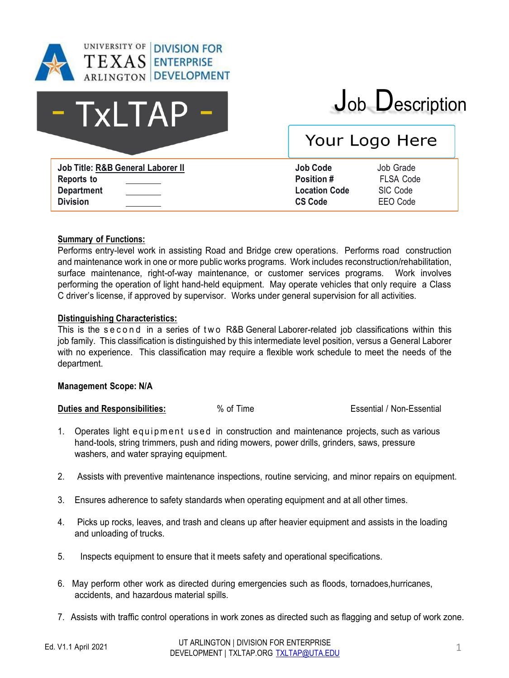

# - TxLTAP

## Job Description

## Your Logo Here

**Job Title: R&B General Laborer II Job Code** Job Grade **Reports to Department Division**

| Job Code      |  |
|---------------|--|
| Position #    |  |
| Location Code |  |
| CS Code       |  |

**FLSA Code SIC Code FFO** Code

#### **Summary of Functions:**

Performs entry-level work in assisting Road and Bridge crew operations. Performs road construction and maintenance work in one or more public works programs. Work includes reconstruction/rehabilitation, surface maintenance, right-of-way maintenance, or customer services programs. Work involves performing the operation of light hand-held equipment. May operate vehicles that only require a Class C driver's license, if approved by supervisor. Works under general supervision for all activities.

#### **Distinguishing Characteristics:**

This is the second in a series of two R&B General Laborer-related job classifications within this job family. This classification is distinguished by this intermediate level position, versus a General Laborer with no experience. This classification may require a flexible work schedule to meet the needs of the department.

#### **Management Scope: N/A**

**Duties and Responsibilities:**  $\%$  of Time  $\%$  **Exsential** / Non-Essential

- 1. Operates light equipment used in construction and maintenance projects, such as various hand-tools, string trimmers, push and riding mowers, power drills, grinders, saws, pressure washers, and water spraying equipment.
- 2. Assists with preventive maintenance inspections, routine servicing, and minor repairs on equipment.
- 3. Ensures adherence to safety standards when operating equipment and at all other times.
- 4. Picks up rocks, leaves, and trash and cleans up after heavier equipment and assists in the loading and unloading of trucks.
- 5. Inspects equipment to ensure that it meets safety and operational specifications.
- 6. May perform other work as directed during emergencies such as floods, tornadoes,hurricanes, accidents, and hazardous material spills.
- 7. Assists with traffic control operations in work zones as directed such as flagging and setup of work zone.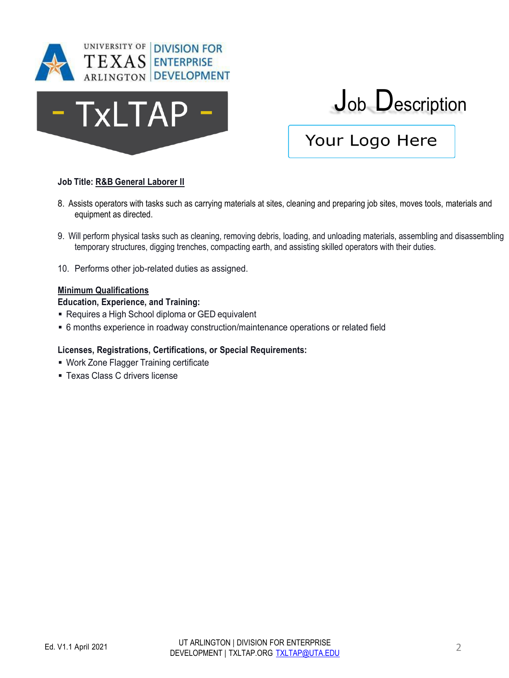



### Your Logo Here

#### **Job Title: R&B General Laborer II**

- 8. Assists operators with tasks such as carrying materials at sites, cleaning and preparing job sites, moves tools, materials and equipment as directed.
- 9. Will perform physical tasks such as cleaning, removing debris, loading, and unloading materials, assembling and disassembling temporary structures, digging trenches, compacting earth, and assisting skilled operators with their duties.
- 10. Performs other job-related duties as assigned.

#### **Minimum Qualifications**

#### **Education, Experience, and Training:**

- **EXEQUE AND ADDE SCHOOL ASSESS IN A READ EQUARE A READ FIGURE .** Requivalent
- 6 months experience in roadway construction/maintenance operations or related field

#### **Licenses, Registrations, Certifications, or Special Requirements:**

- **Work Zone Flagger Training certificate**
- **EXALCORE C DRIVER CONCRETE THE TEXAS C drivers license**